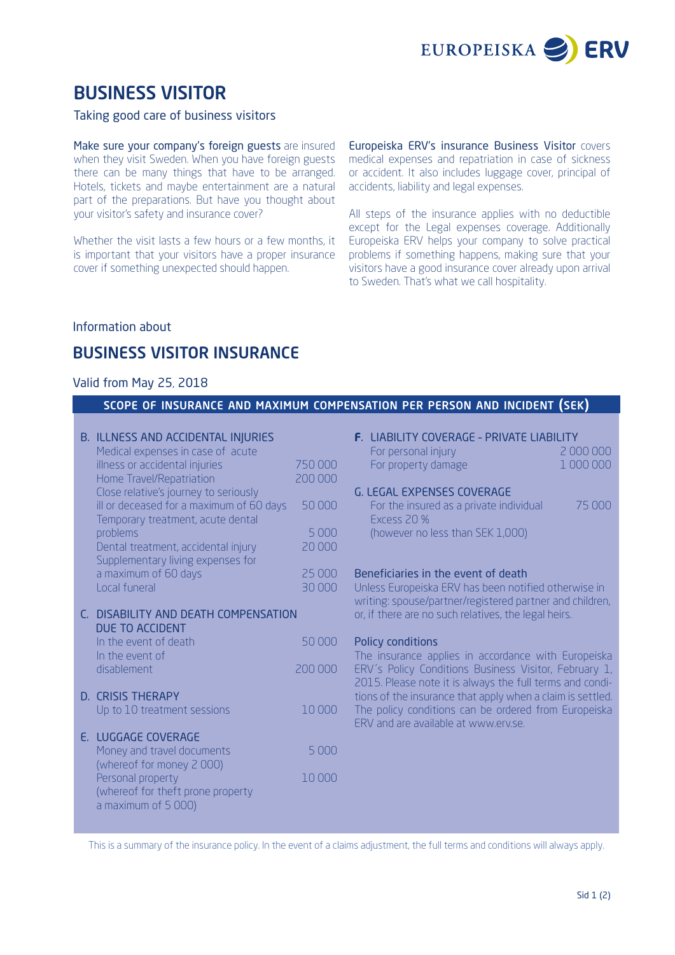

# BUSINESS VISITOR

### Taking good care of business visitors

Make sure your company's foreign guests are insured when they visit Sweden. When you have foreign guests there can be many things that have to be arranged. Hotels, tickets and maybe entertainment are a natural part of the preparations. But have you thought about your visitor's safety and insurance cover?

Whether the visit lasts a few hours or a few months, it is important that your visitors have a proper insurance cover if something unexpected should happen.

Europeiska ERV's insurance Business Visitor covers medical expenses and repatriation in case of sickness or accident. It also includes luggage cover, principal of accidents, liability and legal expenses.

All steps of the insurance applies with no deductible except for the Legal expenses coverage. Additionally Europeiska ERV helps your company to solve practical problems if something happens, making sure that your visitors have a good insurance cover already upon arrival to Sweden. That's what we call hospitality.

## Information about

## BUSINESS VISITOR INSURANCE

#### Valid from May 25, 2018

#### scope of insurance and maximum compensation per person and incident (sek)

| <b>B. ILLNESS AND ACCIDENTAL INJURIES</b> |         |
|-------------------------------------------|---------|
| Medical expenses in case of acute         |         |
| illness or accidental injuries            | 750000  |
| Home Travel/Repatriation                  | 200 000 |
| Close relative's journey to seriously     |         |
| ill or deceased for a maximum of 60 days  | 50000   |
| Temporary treatment, acute dental         |         |
| problems                                  | 5 0 0 0 |
| Dental treatment, accidental injury       | 20,000  |
| Supplementary living expenses for         |         |
| a maximum of 60 days                      | 25 000  |
| Local funeral                             | 30 000  |
| C. DISABILITY AND DEATH COMPENSATION      |         |
| DUE TO ACCIDENT                           |         |
| In the event of death                     | 50000   |
| In the event of                           |         |
| disablement                               | 200 000 |
|                                           |         |
| <b>D. CRISIS THERAPY</b>                  |         |
| Up to 10 treatment sessions               | 10000   |
|                                           |         |
| E. LUGGAGE COVERAGE                       |         |
| Money and travel documents                | 5 000   |
| (whereof for money 2000)                  |         |
| Personal property                         | 10000   |
| (whereof for theft prone property         |         |
| a maximum of 5 000)                       |         |

| <b>F</b> . LIABILITY COVERAGE - PRIVATE LIABILITY |            |  |
|---------------------------------------------------|------------|--|
| For personal injury                               | -2.000.000 |  |
| For property damage                               | 1000000    |  |

#### G. LEGAL EXPENSES COVERAGE

| For the insured as a private individual | -75.000 |
|-----------------------------------------|---------|
| Excess 20 %                             |         |
| (however no less than SEK 1,000)        |         |

#### Beneficiaries in the event of death

Unless Europeiska ERV has been notified otherwise in writing: spouse/partner/registered partner and children, or, if there are no such relatives, the legal heirs.

#### Policy conditions

The insurance applies in accordance with Europeiska ERV´s Policy Conditions Business Visitor, February 1, 2015. Please note it is always the full terms and conditions of the insurance that apply when a claim is settled. The policy conditions can be ordered from Europeiska ERV and are available at www.erv.se.

This is a summary of the insurance policy. In the event of a claims adjustment, the full terms and conditions will always apply.